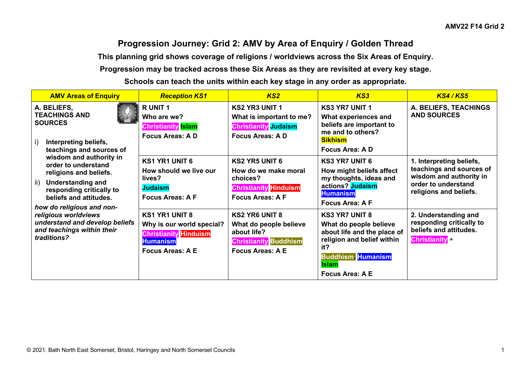## **Progression Journey: Grid 2: AMV by Area of Enquiry / Golden Thread**

**This planning grid shows coverage of religions / worldviews across the Six Areas of Enquiry.**

**Progression may be tracked across these Six Areas as they are revisited at every key stage.**

**Schools can teach the units within each key stage in any order as appropriate.**

| <b>AMV Areas of Enquiry</b>                                                                                                                                                                                                                                                                                                                                                                                                           | <b>Reception KS1</b>                                                                                                             | KS <sub>2</sub>                                                                                                           | KS3                                                                                                                                                                                       | <b>KS4/KS5</b>                                                                                                                   |
|---------------------------------------------------------------------------------------------------------------------------------------------------------------------------------------------------------------------------------------------------------------------------------------------------------------------------------------------------------------------------------------------------------------------------------------|----------------------------------------------------------------------------------------------------------------------------------|---------------------------------------------------------------------------------------------------------------------------|-------------------------------------------------------------------------------------------------------------------------------------------------------------------------------------------|----------------------------------------------------------------------------------------------------------------------------------|
| A. BELIEFS,<br><b>TEACHINGS AND</b><br><b>SOURCES</b><br>Interpreting beliefs,<br>I)<br>teachings and sources of<br>wisdom and authority in<br>order to understand<br>religions and beliefs.<br><b>Understanding and</b><br>$\overline{ii}$<br>responding critically to<br>beliefs and attitudes.<br>how do religious and non-<br>religious worldviews<br>understand and develop beliefs<br>and teachings within their<br>traditions? | R UNIT 1<br>Who are we?<br><b>Christianity Islam</b><br>Focus Areas: A D                                                         | <b>KS2 YR3 UNIT 1</b><br>What is important to me?<br><b>Christianity Judaism</b><br><b>Focus Areas: A D</b>               | <b>KS3 YR7 UNIT 1</b><br>What experiences and<br>beliefs are important to<br>me and to others?<br><b>Sikhism</b><br>Focus Area: A D                                                       | A. BELIEFS, TEACHINGS<br><b>AND SOURCES</b>                                                                                      |
|                                                                                                                                                                                                                                                                                                                                                                                                                                       | <b>KS1 YR1 UNIT 6</b><br>How should we live our<br>lives?<br><b>Judaism</b><br><b>Focus Areas: A F</b>                           | <b>KS2 YR5 UNIT 6</b><br>How do we make moral<br>choices?<br><b>Christianity Hinduism</b><br><b>Focus Areas: A F</b>      | <b>KS3 YR7 UNIT 6</b><br>How might beliefs affect<br>my thoughts, ideas and<br>actions? Judaism<br><b>Humanism</b><br>Focus Area: A F                                                     | 1. Interpreting beliefs,<br>teachings and sources of<br>wisdom and authority in<br>order to understand<br>religions and beliefs. |
|                                                                                                                                                                                                                                                                                                                                                                                                                                       | <b>KS1 YR1 UNIT 8</b><br>Why is our world special?<br><b>Christianity Hinduism</b><br><b>Humanism</b><br><b>Focus Areas: A E</b> | <b>KS2 YR6 UNIT 8</b><br>What do people believe<br>about life?<br><b>Christianity</b> Buddhism<br><b>Focus Areas: A E</b> | <b>KS3 YR7 UNIT 8</b><br>What do people believe<br>about life and the place of<br>religion and belief within<br>it?<br><b>Buddhism Humanism</b><br><b>Islam</b><br><b>Focus Area: A E</b> | 2. Understanding and<br>responding critically to<br>beliefs and attitudes.<br><b>Christianity</b>                                |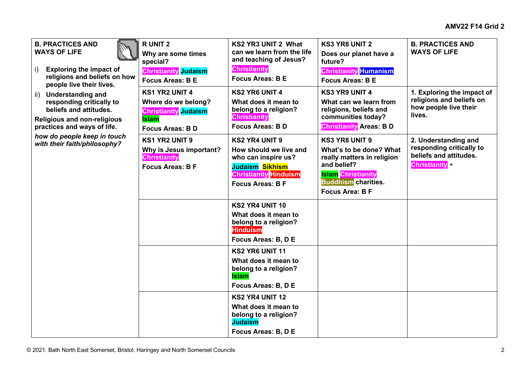| <b>B. PRACTICES AND</b>                                           | <b>RUNIT 2</b>                                 | KS2 YR3 UNIT 2 What                                  | <b>KS3 YR8 UNIT 2</b>                                 | <b>B. PRACTICES AND</b>                          |
|-------------------------------------------------------------------|------------------------------------------------|------------------------------------------------------|-------------------------------------------------------|--------------------------------------------------|
| <b>WAYS OF LIFE</b>                                               | Why are some times<br>special?                 | can we learn from the life<br>and teaching of Jesus? | Does our planet have a<br>future?                     | <b>WAYS OF LIFE</b>                              |
| <b>Exploring the impact of</b><br>i)                              | <b>Christianity</b> Judaism                    | <b>Christianity</b>                                  | <b>Christianity</b> Humanism                          |                                                  |
| religions and beliefs on how                                      | <b>Focus Areas: B E</b>                        | <b>Focus Areas: B E</b>                              | <b>Focus Areas: B E</b>                               |                                                  |
| people live their lives.<br><b>Understanding and</b><br>ii)       | <b>KS1 YR2 UNIT 4</b>                          | <b>KS2 YR6 UNIT 4</b>                                | <b>KS3 YR9 UNIT 4</b>                                 | 1. Exploring the impact of                       |
| responding critically to                                          | Where do we belong?                            | What does it mean to                                 | What can we learn from                                | religions and beliefs on                         |
| beliefs and attitudes.                                            | <b>Christianity</b> Judaism                    | belong to a religion?                                | religions, beliefs and                                | how people live their<br>lives.                  |
| <b>Religious and non-religious</b><br>practices and ways of life. | <b>Islam</b>                                   | <b>Christianity</b><br><b>Focus Areas: BD</b>        | communities today?<br><b>Christianity Areas: B D</b>  |                                                  |
| how do people keep in touch                                       | <b>Focus Areas: BD</b>                         |                                                      |                                                       |                                                  |
| with their faith/philosophy?                                      | <b>KS1 YR2 UNIT 9</b>                          | <b>KS2 YR4 UNIT 9</b>                                | <b>KS3 YR8 UNIT 9</b>                                 | 2. Understanding and<br>responding critically to |
|                                                                   | Why is Jesus important?<br><b>Christianity</b> | How should we live and<br>who can inspire us?        | What's to be done? What<br>really matters in religion | beliefs and attitudes.                           |
|                                                                   | <b>Focus Areas: B F</b>                        | Judaism Sikhism                                      | and belief?                                           | <b>Christianity</b>                              |
|                                                                   |                                                | <b>Christianity Hinduism</b>                         | <b>Islam Christianity</b>                             |                                                  |
|                                                                   |                                                | <b>Focus Areas: B F</b>                              | <b>Buddhism</b> charities.                            |                                                  |
|                                                                   |                                                |                                                      | <b>Focus Area: B F</b>                                |                                                  |
|                                                                   |                                                | KS2 YR4 UNIT 10                                      |                                                       |                                                  |
|                                                                   |                                                | What does it mean to                                 |                                                       |                                                  |
|                                                                   |                                                | belong to a religion?<br><b>Hinduism</b>             |                                                       |                                                  |
|                                                                   |                                                | Focus Areas: B, D E                                  |                                                       |                                                  |
|                                                                   |                                                | KS2 YR6 UNIT 11                                      |                                                       |                                                  |
|                                                                   |                                                | What does it mean to                                 |                                                       |                                                  |
|                                                                   |                                                | belong to a religion?<br><b>Islam</b>                |                                                       |                                                  |
|                                                                   |                                                | Focus Areas: B, D E                                  |                                                       |                                                  |
|                                                                   |                                                | KS2 YR4 UNIT 12                                      |                                                       |                                                  |
|                                                                   |                                                | What does it mean to                                 |                                                       |                                                  |
|                                                                   |                                                | belong to a religion?                                |                                                       |                                                  |
|                                                                   |                                                | <b>Judaism</b>                                       |                                                       |                                                  |
|                                                                   |                                                | Focus Areas: B, D E                                  |                                                       |                                                  |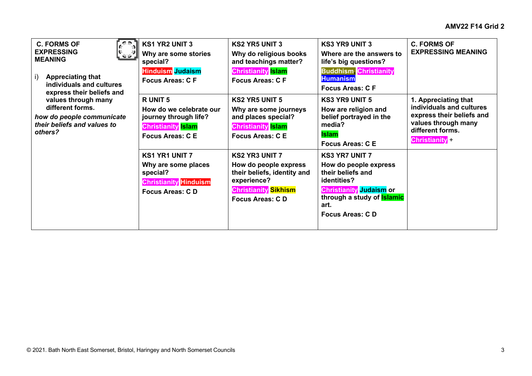| <b>C. FORMS OF</b><br><b>EXPRESSING</b><br><b>MEANING</b><br><b>Appreciating that</b><br>$\vert$<br>individuals and cultures<br>express their beliefs and | <b>KS1 YR2 UNIT 3</b><br>Why are some stories<br>special?<br><b>Hinduism</b> Judaism<br><b>Focus Areas: C F</b>          | <b>KS2 YR5 UNIT 3</b><br>Why do religious books<br>and teachings matter?<br><b>Christianity</b> Islam<br><b>Focus Areas: CF</b>                | <b>KS3 YR9 UNIT 3</b><br>Where are the answers to<br>life's big questions?<br><b>Buddhism Christianity</b><br><b>Humanism</b><br><b>Focus Areas: C F</b>                                          | <b>C. FORMS OF</b><br><b>EXPRESSING MEANING</b>                                                                                                 |
|-----------------------------------------------------------------------------------------------------------------------------------------------------------|--------------------------------------------------------------------------------------------------------------------------|------------------------------------------------------------------------------------------------------------------------------------------------|---------------------------------------------------------------------------------------------------------------------------------------------------------------------------------------------------|-------------------------------------------------------------------------------------------------------------------------------------------------|
| values through many<br>different forms.<br>how do people communicate<br>their beliefs and values to<br>others?                                            | <b>RUNIT5</b><br>How do we celebrate our<br>journey through life?<br><b>Christianity</b> Islam<br><b>Focus Areas: CE</b> | <b>KS2 YR5 UNIT 5</b><br>Why are some journeys<br>and places special?<br><b>Christianity</b> Islam<br><b>Focus Areas: CE</b>                   | <b>KS3 YR9 UNIT 5</b><br>How are religion and<br>belief portrayed in the<br>media?<br><b>Islam</b><br><b>Focus Areas: C E</b>                                                                     | 1. Appreciating that<br>individuals and cultures<br>express their beliefs and<br>values through many<br>different forms.<br><b>Christianity</b> |
|                                                                                                                                                           | <b>KS1 YR1 UNIT 7</b><br>Why are some places<br>special?<br><b>Christianity Hinduism</b><br><b>Focus Areas: CD</b>       | <b>KS2 YR3 UNIT 7</b><br>How do people express<br>their beliefs, identity and<br>experience?<br><b>Christianity</b> Sikhism<br>Focus Areas: CD | <b>KS3 YR7 UNIT 7</b><br>How do people express<br>their beliefs and<br>identities?<br>Christianity <mark>Judaism</mark> or<br>through a study of <b>Islamic</b><br>art.<br><b>Focus Areas: CD</b> |                                                                                                                                                 |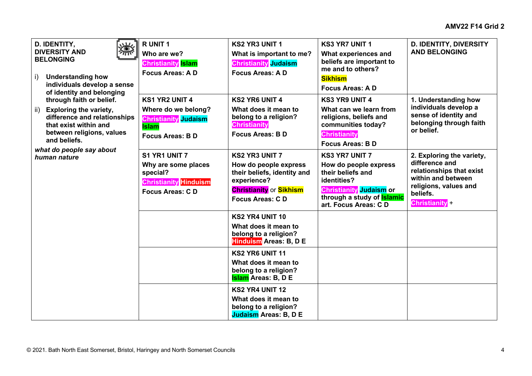| D. IDENTITY,<br><b>DIVERSITY AND</b><br>יחזי<br><b>BELONGING</b><br><b>Understanding how</b><br>i).<br>individuals develop a sense<br>of identity and belonging<br>through faith or belief.<br><b>Exploring the variety,</b><br>ii)<br>difference and relationships<br>that exist within and<br>between religions, values<br>and beliefs.<br>what do people say about<br>human nature | R UNIT 1<br>Who are we?<br><b>Christianity Islam</b><br><b>Focus Areas: A D</b>                                       | <b>KS2 YR3 UNIT 1</b><br>What is important to me?<br><b>Christianity</b> Judaism<br><b>Focus Areas: A D</b>                                       | <b>KS3 YR7 UNIT 1</b><br>What experiences and<br>beliefs are important to<br>me and to others?<br><b>Sikhism</b><br><b>Focus Areas: AD</b>                                        | <b>D. IDENTITY, DIVERSITY</b><br><b>AND BELONGING</b>                                                                                                     |
|---------------------------------------------------------------------------------------------------------------------------------------------------------------------------------------------------------------------------------------------------------------------------------------------------------------------------------------------------------------------------------------|-----------------------------------------------------------------------------------------------------------------------|---------------------------------------------------------------------------------------------------------------------------------------------------|-----------------------------------------------------------------------------------------------------------------------------------------------------------------------------------|-----------------------------------------------------------------------------------------------------------------------------------------------------------|
|                                                                                                                                                                                                                                                                                                                                                                                       | <b>KS1 YR2 UNIT 4</b><br>Where do we belong?<br><b>Christianity</b> Judaism<br><b>Islam</b><br><b>Focus Areas: BD</b> | <b>KS2 YR6 UNIT 4</b><br>What does it mean to<br>belong to a religion?<br><b>Christianity</b><br><b>Focus Areas: B D</b>                          | <b>KS3 YR9 UNIT 4</b><br>What can we learn from<br>religions, beliefs and<br>communities today?<br><b>Christianity</b><br><b>Focus Areas: BD</b>                                  | 1. Understanding how<br>individuals develop a<br>sense of identity and<br>belonging through faith<br>or belief.                                           |
|                                                                                                                                                                                                                                                                                                                                                                                       | S1 YR1 UNIT 7<br>Why are some places<br>special?<br><b>Christianity Hinduism</b><br><b>Focus Areas: CD</b>            | <b>KS2 YR3 UNIT 7</b><br>How do people express<br>their beliefs, identity and<br>experience?<br><b>Christianity or Sikhism</b><br>Focus Areas: CD | <b>KS3 YR7 UNIT 7</b><br>How do people express<br>their beliefs and<br>identities?<br><b>Christianity Judaism or</b><br>through a study of <b>Islamic</b><br>art. Focus Areas: CD | 2. Exploring the variety,<br>difference and<br>relationships that exist<br>within and between<br>religions, values and<br>beliefs.<br><b>Christianity</b> |
|                                                                                                                                                                                                                                                                                                                                                                                       |                                                                                                                       | <b>KS2 YR4 UNIT 10</b><br>What does it mean to<br>belong to a religion?<br><b>Hinduism</b> Areas: B, D E                                          |                                                                                                                                                                                   |                                                                                                                                                           |
|                                                                                                                                                                                                                                                                                                                                                                                       |                                                                                                                       | <b>KS2 YR6 UNIT 11</b><br>What does it mean to<br>belong to a religion?<br><b>Islam</b> Areas: B, D E                                             |                                                                                                                                                                                   |                                                                                                                                                           |
|                                                                                                                                                                                                                                                                                                                                                                                       |                                                                                                                       | KS2 YR4 UNIT 12<br>What does it mean to<br>belong to a religion?<br><b>Judaism Areas: B, D E</b>                                                  |                                                                                                                                                                                   |                                                                                                                                                           |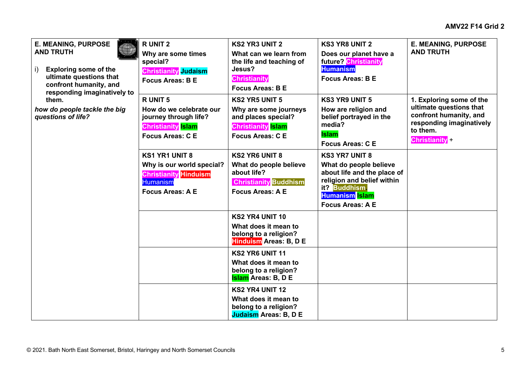| <b>E. MEANING, PURPOSE</b><br><b>AND TRUTH</b><br><b>Exploring some of the</b><br>i).<br>ultimate questions that<br>confront humanity, and<br>responding imaginatively to<br>them.<br>how do people tackle the big<br>questions of life? | <b>RUNIT 2</b><br>Why are some times<br>special?<br><b>Christianity</b> Judaism<br>Focus Areas: B E                              | <b>KS2 YR3 UNIT 2</b><br>What can we learn from<br>the life and teaching of<br>Jesus?<br><b>Christianity</b><br><b>Focus Areas: B E</b> | <b>KS3 YR8 UNIT 2</b><br>Does our planet have a<br>future? Christianity<br><b>Humanism</b><br><b>Focus Areas: B E</b>                                                             | <b>E. MEANING, PURPOSE</b><br><b>AND TRUTH</b>                                                                                               |
|------------------------------------------------------------------------------------------------------------------------------------------------------------------------------------------------------------------------------------------|----------------------------------------------------------------------------------------------------------------------------------|-----------------------------------------------------------------------------------------------------------------------------------------|-----------------------------------------------------------------------------------------------------------------------------------------------------------------------------------|----------------------------------------------------------------------------------------------------------------------------------------------|
|                                                                                                                                                                                                                                          | R UNIT 5<br>How do we celebrate our<br>journey through life?<br><b>Christianity</b> Islam<br><b>Focus Areas: CE</b>              | <b>KS2 YR5 UNIT 5</b><br>Why are some journeys<br>and places special?<br><b>Christianity</b> Islam<br><b>Focus Areas: CE</b>            | <b>KS3 YR9 UNIT 5</b><br>How are religion and<br>belief portrayed in the<br>media?<br><b>Islam</b><br><b>Focus Areas: CE</b>                                                      | 1. Exploring some of the<br>ultimate questions that<br>confront humanity, and<br>responding imaginatively<br>to them.<br><b>Christianity</b> |
|                                                                                                                                                                                                                                          | <b>KS1 YR1 UNIT 8</b><br>Why is our world special?<br><b>Christianity</b> Hinduism<br><b>Humanism</b><br><b>Focus Areas: A E</b> | <b>KS2 YR6 UNIT 8</b><br>What do people believe<br>about life?<br><b>Christianity Buddhism</b><br><b>Focus Areas: A E</b>               | <b>KS3 YR7 UNIT 8</b><br>What do people believe<br>about life and the place of<br>religion and belief within<br>it? Buddhism.<br><b>Humanism</b> Islam<br><b>Focus Areas: A E</b> |                                                                                                                                              |
|                                                                                                                                                                                                                                          |                                                                                                                                  | KS2 YR4 UNIT 10<br>What does it mean to<br>belong to a religion?<br><b>Hinduism</b> Areas: B, D E                                       |                                                                                                                                                                                   |                                                                                                                                              |
|                                                                                                                                                                                                                                          |                                                                                                                                  | <b>KS2 YR6 UNIT 11</b><br>What does it mean to<br>belong to a religion?<br><b>Islam</b> Areas: B, D E                                   |                                                                                                                                                                                   |                                                                                                                                              |
|                                                                                                                                                                                                                                          |                                                                                                                                  | KS2 YR4 UNIT 12<br>What does it mean to<br>belong to a religion?<br><b>Judaism Areas: B, D E</b>                                        |                                                                                                                                                                                   |                                                                                                                                              |